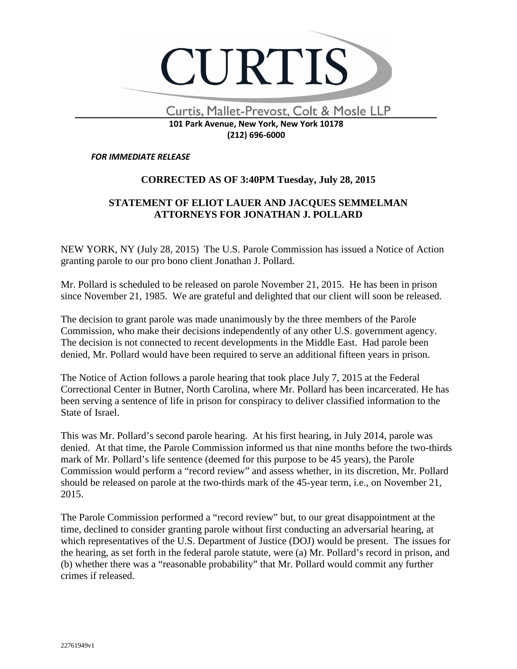

Curtis, Mallet-Prevost, Colt & Mosle LLP

 $\overline{\phantom{0}}$ 

## **101 Park Avenue, New York, New York 10178 (212) 696-6000**

## *FOR IMMEDIATE RELEASE*

## **CORRECTED AS OF 3:40PM Tuesday, July 28, 2015**

## **STATEMENT OF ELIOT LAUER AND JACQUES SEMMELMAN ATTORNEYS FOR JONATHAN J. POLLARD**

NEW YORK, NY (July 28, 2015) The U.S. Parole Commission has issued a Notice of Action granting parole to our pro bono client Jonathan J. Pollard.

Mr. Pollard is scheduled to be released on parole November 21, 2015. He has been in prison since November 21, 1985. We are grateful and delighted that our client will soon be released.

The decision to grant parole was made unanimously by the three members of the Parole Commission, who make their decisions independently of any other U.S. government agency. The decision is not connected to recent developments in the Middle East. Had parole been denied, Mr. Pollard would have been required to serve an additional fifteen years in prison.

The Notice of Action follows a parole hearing that took place July 7, 2015 at the Federal Correctional Center in Butner, North Carolina, where Mr. Pollard has been incarcerated. He has been serving a sentence of life in prison for conspiracy to deliver classified information to the State of Israel.

This was Mr. Pollard's second parole hearing. At his first hearing, in July 2014, parole was denied. At that time, the Parole Commission informed us that nine months before the two-thirds mark of Mr. Pollard's life sentence (deemed for this purpose to be 45 years), the Parole Commission would perform a "record review" and assess whether, in its discretion, Mr. Pollard should be released on parole at the two-thirds mark of the 45-year term, i.e., on November 21, 2015.

The Parole Commission performed a "record review" but, to our great disappointment at the time, declined to consider granting parole without first conducting an adversarial hearing, at which representatives of the U.S. Department of Justice (DOJ) would be present. The issues for the hearing, as set forth in the federal parole statute, were (a) Mr. Pollard's record in prison, and (b) whether there was a "reasonable probability" that Mr. Pollard would commit any further crimes if released.